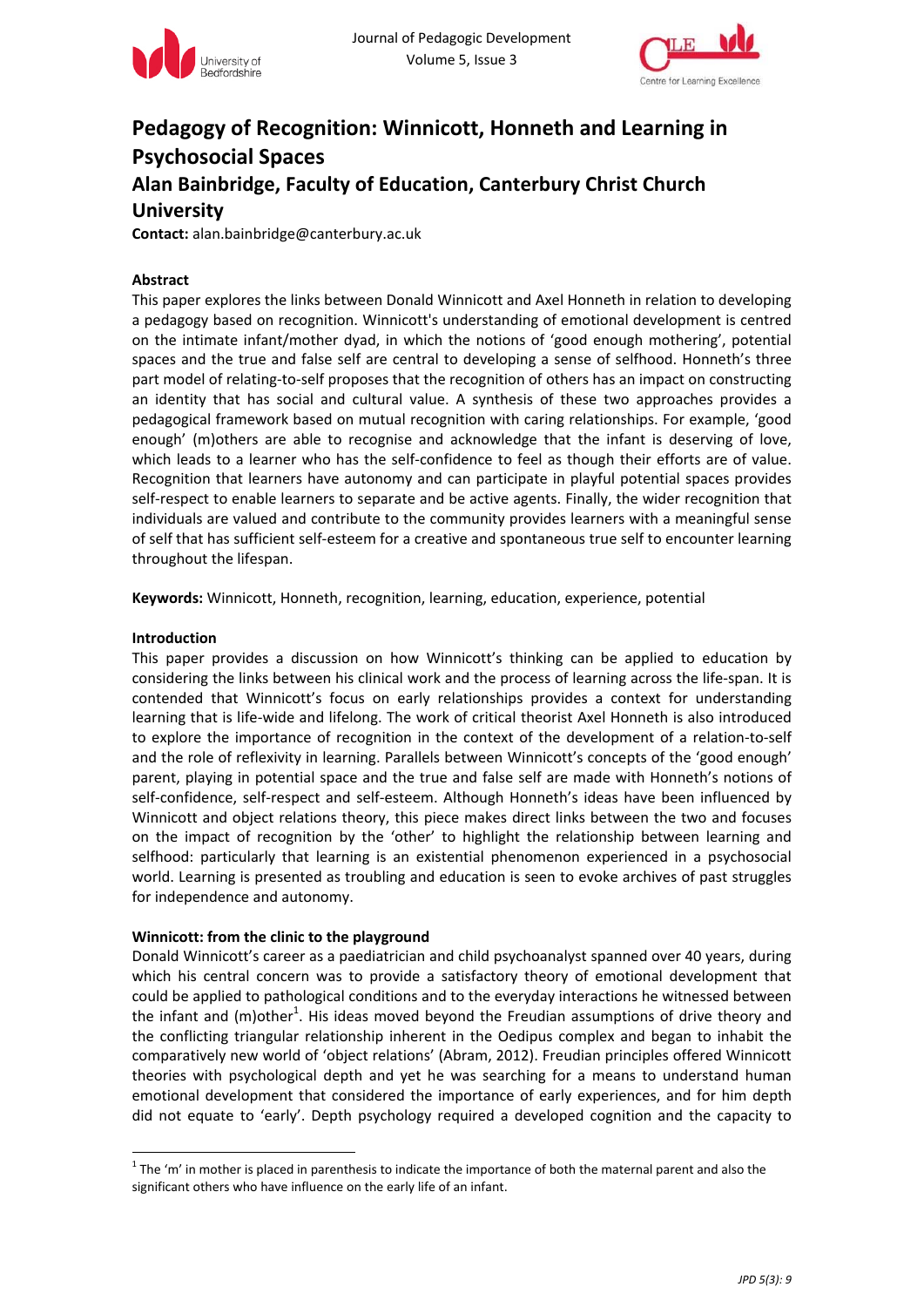



# **Pedagogy of Recognition: Winnicott, Honneth and Learning in Psychosocial Spaces Alan Bainbridge, Faculty of Education, Canterbury Christ Church**

## **University**

**Contact:** alan.bainbridge@canterbury.ac.uk

#### **Abstract**

This paper explores the links between Donald Winnicott and Axel Honneth in relation to developing a pedagogy based on recognition. Winnicott's understanding of emotional development is centred on the intimate infant/mother dyad, in which the notions of 'good enough mothering', potential spaces and the true and false self are central to developing a sense of selfhood. Honneth's three part model of relating-to-self proposes that the recognition of others has an impact on constructing an identity that has social and cultural value. A synthesis of these two approaches provides a pedagogical framework based on mutual recognition with caring relationships. For example, 'good enough' (m)others are able to recognise and acknowledge that the infant is deserving of love, which leads to a learner who has the self‐confidence to feel as though their efforts are of value. Recognition that learners have autonomy and can participate in playful potential spaces provides self-respect to enable learners to separate and be active agents. Finally, the wider recognition that individuals are valued and contribute to the community provides learners with a meaningful sense of self that has sufficient self‐esteem for a creative and spontaneous true self to encounter learning throughout the lifespan.

**Keywords:** Winnicott, Honneth, recognition, learning, education, experience, potential

#### **Introduction**

This paper provides a discussion on how Winnicott's thinking can be applied to education by considering the links between his clinical work and the process of learning across the life‐span. It is contended that Winnicott's focus on early relationships provides a context for understanding learning that is life-wide and lifelong. The work of critical theorist Axel Honneth is also introduced to explore the importance of recognition in the context of the development of a relation‐to‐self and the role of reflexivity in learning. Parallels between Winnicott's concepts of the 'good enough' parent, playing in potential space and the true and false self are made with Honneth's notions of self-confidence, self-respect and self-esteem. Although Honneth's ideas have been influenced by Winnicott and object relations theory, this piece makes direct links between the two and focuses on the impact of recognition by the 'other' to highlight the relationship between learning and selfhood: particularly that learning is an existential phenomenon experienced in a psychosocial world. Learning is presented as troubling and education is seen to evoke archives of past struggles for independence and autonomy.

## **Winnicott: from the clinic to the playground**

Donald Winnicott's career as a paediatrician and child psychoanalyst spanned over 40 years, during which his central concern was to provide a satisfactory theory of emotional development that could be applied to pathological conditions and to the everyday interactions he witnessed between the infant and (m)other<sup>1</sup>. His ideas moved beyond the Freudian assumptions of drive theory and the conflicting triangular relationship inherent in the Oedipus complex and began to inhabit the comparatively new world of 'object relations' (Abram, 2012). Freudian principles offered Winnicott theories with psychological depth and yet he was searching for a means to understand human emotional development that considered the importance of early experiences, and for him depth did not equate to 'early'. Depth psychology required a developed cognition and the capacity to

 $1$  The 'm' in mother is placed in parenthesis to indicate the importance of both the maternal parent and also the significant others who have influence on the early life of an infant.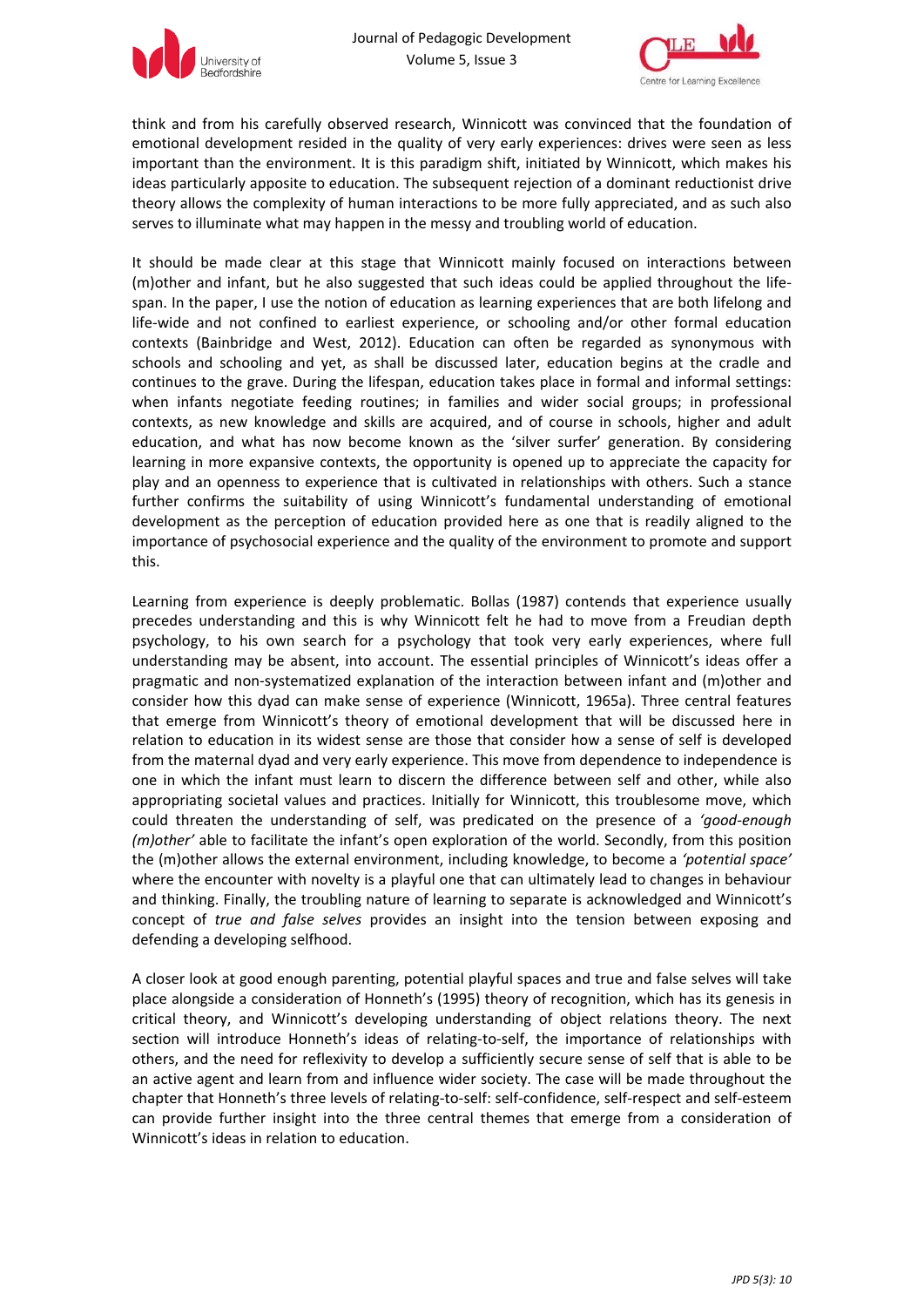



think and from his carefully observed research, Winnicott was convinced that the foundation of emotional development resided in the quality of very early experiences: drives were seen as less important than the environment. It is this paradigm shift, initiated by Winnicott, which makes his ideas particularly apposite to education. The subsequent rejection of a dominant reductionist drive theory allows the complexity of human interactions to be more fully appreciated, and as such also serves to illuminate what may happen in the messy and troubling world of education.

It should be made clear at this stage that Winnicott mainly focused on interactions between (m)other and infant, but he also suggested that such ideas could be applied throughout the life‐ span. In the paper, I use the notion of education as learning experiences that are both lifelong and life-wide and not confined to earliest experience, or schooling and/or other formal education contexts (Bainbridge and West, 2012). Education can often be regarded as synonymous with schools and schooling and yet, as shall be discussed later, education begins at the cradle and continues to the grave. During the lifespan, education takes place in formal and informal settings: when infants negotiate feeding routines; in families and wider social groups; in professional contexts, as new knowledge and skills are acquired, and of course in schools, higher and adult education, and what has now become known as the 'silver surfer' generation. By considering learning in more expansive contexts, the opportunity is opened up to appreciate the capacity for play and an openness to experience that is cultivated in relationships with others. Such a stance further confirms the suitability of using Winnicott's fundamental understanding of emotional development as the perception of education provided here as one that is readily aligned to the importance of psychosocial experience and the quality of the environment to promote and support this.

Learning from experience is deeply problematic. Bollas (1987) contends that experience usually precedes understanding and this is why Winnicott felt he had to move from a Freudian depth psychology, to his own search for a psychology that took very early experiences, where full understanding may be absent, into account. The essential principles of Winnicott's ideas offer a pragmatic and non-systematized explanation of the interaction between infant and (m)other and consider how this dyad can make sense of experience (Winnicott, 1965a). Three central features that emerge from Winnicott's theory of emotional development that will be discussed here in relation to education in its widest sense are those that consider how a sense of self is developed from the maternal dyad and very early experience. This move from dependence to independence is one in which the infant must learn to discern the difference between self and other, while also appropriating societal values and practices. Initially for Winnicott, this troublesome move, which could threaten the understanding of self, was predicated on the presence of a *'good‐enough (m)other'* able to facilitate the infant's open exploration of the world. Secondly, from this position the (m)other allows the external environment, including knowledge, to become a *'potential space'* where the encounter with novelty is a playful one that can ultimately lead to changes in behaviour and thinking. Finally, the troubling nature of learning to separate is acknowledged and Winnicott's concept of *true and false selves* provides an insight into the tension between exposing and defending a developing selfhood.

A closer look at good enough parenting, potential playful spaces and true and false selves will take place alongside a consideration of Honneth's (1995) theory of recognition, which has its genesis in critical theory, and Winnicott's developing understanding of object relations theory. The next section will introduce Honneth's ideas of relating-to-self, the importance of relationships with others, and the need for reflexivity to develop a sufficiently secure sense of self that is able to be an active agent and learn from and influence wider society. The case will be made throughout the chapter that Honneth's three levels of relating‐to‐self: self‐confidence, self‐respect and self‐esteem can provide further insight into the three central themes that emerge from a consideration of Winnicott's ideas in relation to education.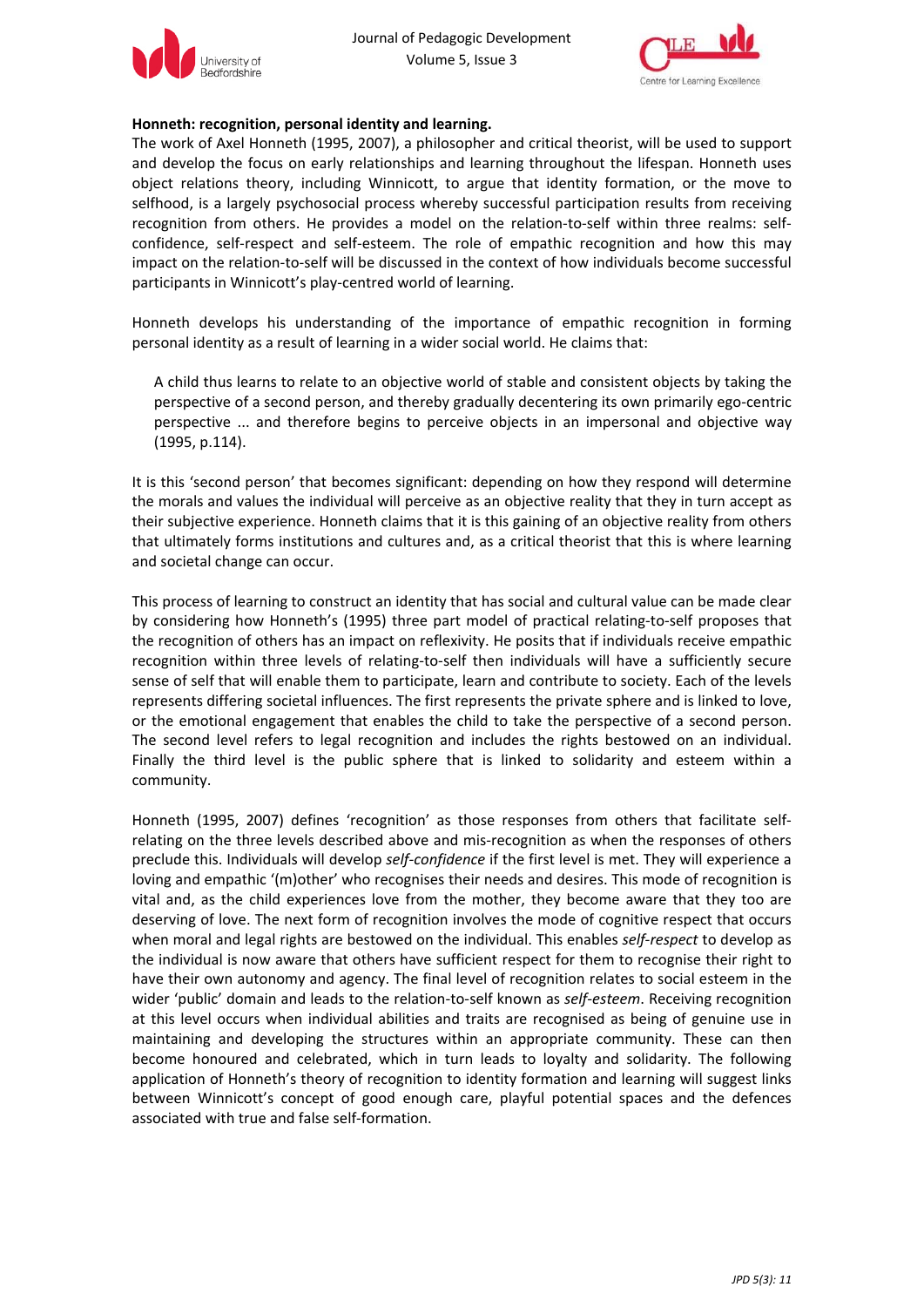



#### **Honneth: recognition, personal identity and learning.**

The work of Axel Honneth (1995, 2007), a philosopher and critical theorist, will be used to support and develop the focus on early relationships and learning throughout the lifespan. Honneth uses object relations theory, including Winnicott, to argue that identity formation, or the move to selfhood, is a largely psychosocial process whereby successful participation results from receiving recognition from others. He provides a model on the relation-to-self within three realms: selfconfidence, self‐respect and self‐esteem. The role of empathic recognition and how this may impact on the relation‐to‐self will be discussed in the context of how individuals become successful participants in Winnicott's play‐centred world of learning.

Honneth develops his understanding of the importance of empathic recognition in forming personal identity as a result of learning in a wider social world. He claims that:

A child thus learns to relate to an objective world of stable and consistent objects by taking the perspective of a second person, and thereby gradually decentering its own primarily ego-centric perspective ... and therefore begins to perceive objects in an impersonal and objective way (1995, p.114).

It is this 'second person' that becomes significant: depending on how they respond will determine the morals and values the individual will perceive as an objective reality that they in turn accept as their subjective experience. Honneth claims that it is this gaining of an objective reality from others that ultimately forms institutions and cultures and, as a critical theorist that this is where learning and societal change can occur.

This process of learning to construct an identity that has social and cultural value can be made clear by considering how Honneth's (1995) three part model of practical relating‐to‐self proposes that the recognition of others has an impact on reflexivity. He posits that if individuals receive empathic recognition within three levels of relating-to-self then individuals will have a sufficiently secure sense of self that will enable them to participate, learn and contribute to society. Each of the levels represents differing societal influences. The first represents the private sphere and is linked to love, or the emotional engagement that enables the child to take the perspective of a second person. The second level refers to legal recognition and includes the rights bestowed on an individual. Finally the third level is the public sphere that is linked to solidarity and esteem within a community.

Honneth (1995, 2007) defines 'recognition' as those responses from others that facilitate selfrelating on the three levels described above and mis-recognition as when the responses of others preclude this. Individuals will develop *self‐confidence* if the first level is met. They will experience a loving and empathic '(m)other' who recognises their needs and desires. This mode of recognition is vital and, as the child experiences love from the mother, they become aware that they too are deserving of love. The next form of recognition involves the mode of cognitive respect that occurs when moral and legal rights are bestowed on the individual. This enables *self‐respect* to develop as the individual is now aware that others have sufficient respect for them to recognise their right to have their own autonomy and agency. The final level of recognition relates to social esteem in the wider 'public' domain and leads to the relation‐to‐self known as *self‐esteem*. Receiving recognition at this level occurs when individual abilities and traits are recognised as being of genuine use in maintaining and developing the structures within an appropriate community. These can then become honoured and celebrated, which in turn leads to loyalty and solidarity. The following application of Honneth's theory of recognition to identity formation and learning will suggest links between Winnicott's concept of good enough care, playful potential spaces and the defences associated with true and false self‐formation.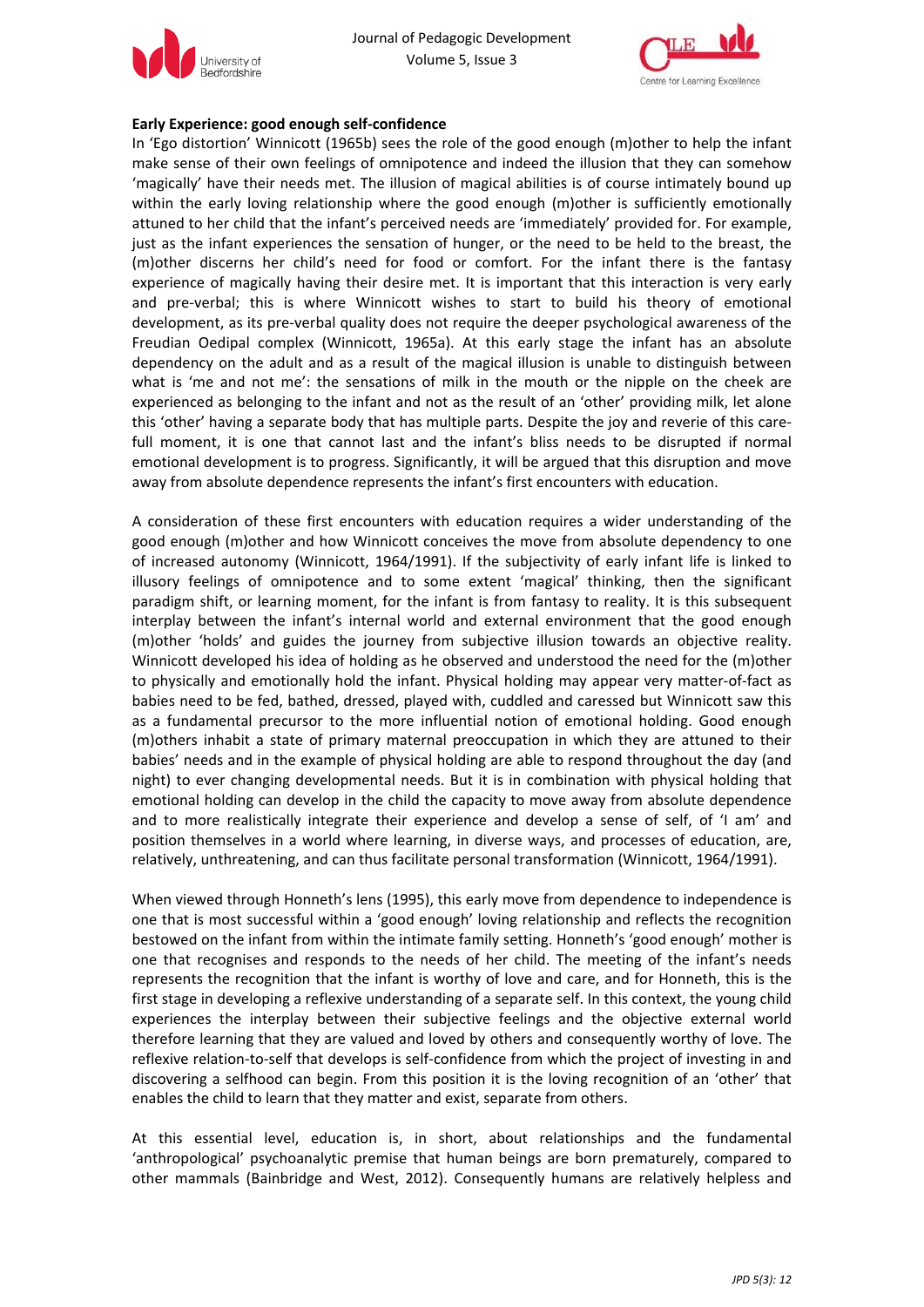



#### **Early Experience: good enough self‐confidence**

In 'Ego distortion' Winnicott (1965b) sees the role of the good enough (m)other to help the infant make sense of their own feelings of omnipotence and indeed the illusion that they can somehow 'magically' have their needs met. The illusion of magical abilities is of course intimately bound up within the early loving relationship where the good enough (m)other is sufficiently emotionally attuned to her child that the infant's perceived needs are 'immediately' provided for. For example, just as the infant experiences the sensation of hunger, or the need to be held to the breast, the (m)other discerns her child's need for food or comfort. For the infant there is the fantasy experience of magically having their desire met. It is important that this interaction is very early and pre‐verbal; this is where Winnicott wishes to start to build his theory of emotional development, as its pre‐verbal quality does not require the deeper psychological awareness of the Freudian Oedipal complex (Winnicott, 1965a). At this early stage the infant has an absolute dependency on the adult and as a result of the magical illusion is unable to distinguish between what is 'me and not me': the sensations of milk in the mouth or the nipple on the cheek are experienced as belonging to the infant and not as the result of an 'other' providing milk, let alone this 'other' having a separate body that has multiple parts. Despite the joy and reverie of this care‐ full moment, it is one that cannot last and the infant's bliss needs to be disrupted if normal emotional development is to progress. Significantly, it will be argued that this disruption and move away from absolute dependence represents the infant's first encounters with education.

A consideration of these first encounters with education requires a wider understanding of the good enough (m)other and how Winnicott conceives the move from absolute dependency to one of increased autonomy (Winnicott, 1964/1991). If the subjectivity of early infant life is linked to illusory feelings of omnipotence and to some extent 'magical' thinking, then the significant paradigm shift, or learning moment, for the infant is from fantasy to reality. It is this subsequent interplay between the infant's internal world and external environment that the good enough (m)other 'holds' and guides the journey from subjective illusion towards an objective reality. Winnicott developed his idea of holding as he observed and understood the need for the (m)other to physically and emotionally hold the infant. Physical holding may appear very matter‐of‐fact as babies need to be fed, bathed, dressed, played with, cuddled and caressed but Winnicott saw this as a fundamental precursor to the more influential notion of emotional holding. Good enough (m)others inhabit a state of primary maternal preoccupation in which they are attuned to their babies' needs and in the example of physical holding are able to respond throughout the day (and night) to ever changing developmental needs. But it is in combination with physical holding that emotional holding can develop in the child the capacity to move away from absolute dependence and to more realistically integrate their experience and develop a sense of self, of 'I am' and position themselves in a world where learning, in diverse ways, and processes of education, are, relatively, unthreatening, and can thus facilitate personal transformation (Winnicott, 1964/1991).

When viewed through Honneth's lens (1995), this early move from dependence to independence is one that is most successful within a 'good enough' loving relationship and reflects the recognition bestowed on the infant from within the intimate family setting. Honneth's 'good enough' mother is one that recognises and responds to the needs of her child. The meeting of the infant's needs represents the recognition that the infant is worthy of love and care, and for Honneth, this is the first stage in developing a reflexive understanding of a separate self. In this context, the young child experiences the interplay between their subjective feelings and the objective external world therefore learning that they are valued and loved by others and consequently worthy of love. The reflexive relation‐to‐self that develops is self‐confidence from which the project of investing in and discovering a selfhood can begin. From this position it is the loving recognition of an 'other' that enables the child to learn that they matter and exist, separate from others.

At this essential level, education is, in short, about relationships and the fundamental 'anthropological' psychoanalytic premise that human beings are born prematurely, compared to other mammals (Bainbridge and West, 2012). Consequently humans are relatively helpless and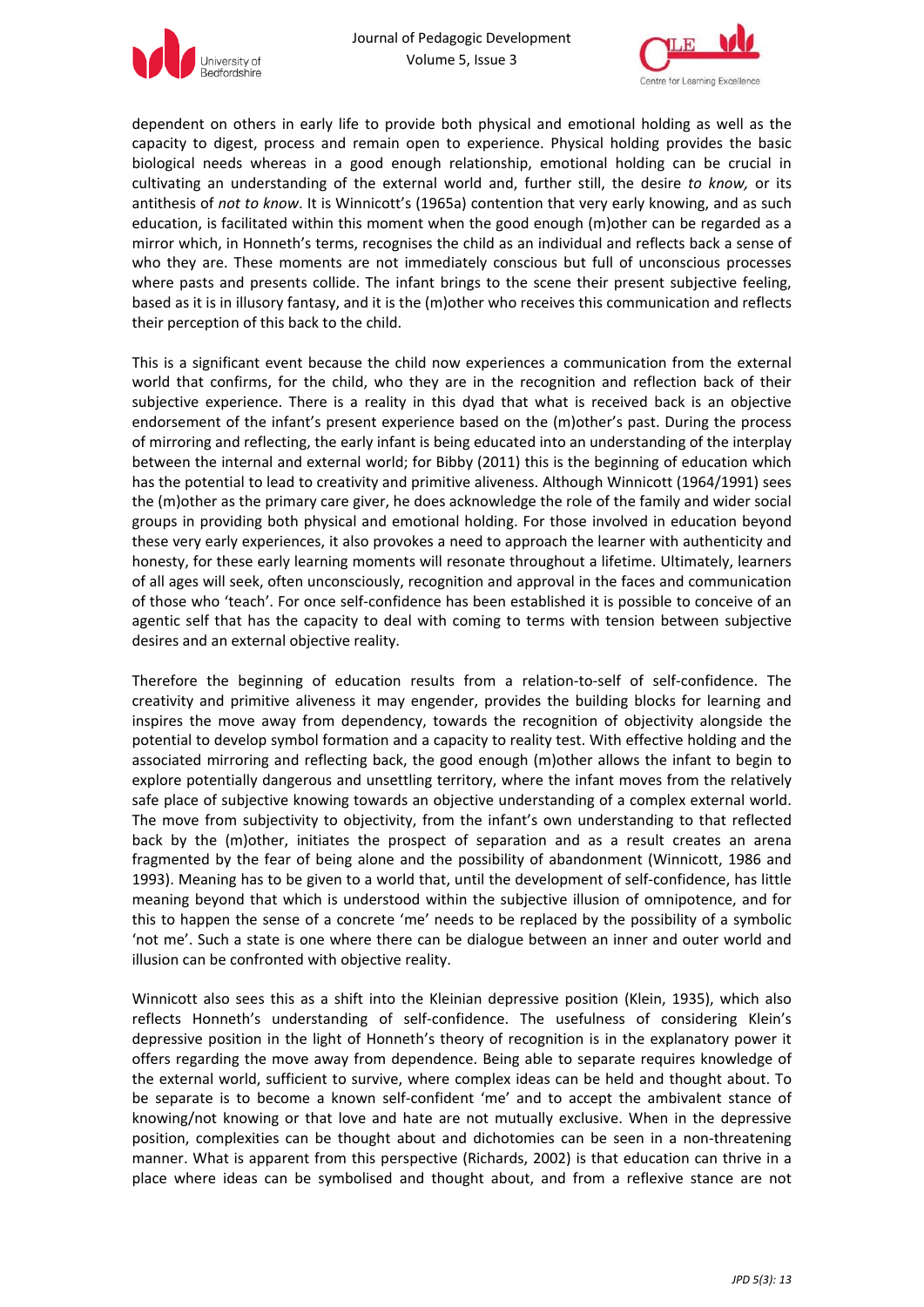



dependent on others in early life to provide both physical and emotional holding as well as the capacity to digest, process and remain open to experience. Physical holding provides the basic biological needs whereas in a good enough relationship, emotional holding can be crucial in cultivating an understanding of the external world and, further still, the desire *to know,* or its antithesis of *not to know*. It is Winnicott's (1965a) contention that very early knowing, and as such education, is facilitated within this moment when the good enough (m)other can be regarded as a mirror which, in Honneth's terms, recognises the child as an individual and reflects back a sense of who they are. These moments are not immediately conscious but full of unconscious processes where pasts and presents collide. The infant brings to the scene their present subjective feeling, based as it is in illusory fantasy, and it is the (m)other who receives this communication and reflects their perception of this back to the child.

This is a significant event because the child now experiences a communication from the external world that confirms, for the child, who they are in the recognition and reflection back of their subjective experience. There is a reality in this dyad that what is received back is an objective endorsement of the infant's present experience based on the (m)other's past. During the process of mirroring and reflecting, the early infant is being educated into an understanding of the interplay between the internal and external world; for Bibby (2011) this is the beginning of education which has the potential to lead to creativity and primitive aliveness. Although Winnicott (1964/1991) sees the (m)other as the primary care giver, he does acknowledge the role of the family and wider social groups in providing both physical and emotional holding. For those involved in education beyond these very early experiences, it also provokes a need to approach the learner with authenticity and honesty, for these early learning moments will resonate throughout a lifetime. Ultimately, learners of all ages will seek, often unconsciously, recognition and approval in the faces and communication of those who 'teach'. For once self‐confidence has been established it is possible to conceive of an agentic self that has the capacity to deal with coming to terms with tension between subjective desires and an external objective reality.

Therefore the beginning of education results from a relation-to-self of self-confidence. The creativity and primitive aliveness it may engender, provides the building blocks for learning and inspires the move away from dependency, towards the recognition of objectivity alongside the potential to develop symbol formation and a capacity to reality test. With effective holding and the associated mirroring and reflecting back, the good enough (m)other allows the infant to begin to explore potentially dangerous and unsettling territory, where the infant moves from the relatively safe place of subjective knowing towards an objective understanding of a complex external world. The move from subjectivity to objectivity, from the infant's own understanding to that reflected back by the (m)other, initiates the prospect of separation and as a result creates an arena fragmented by the fear of being alone and the possibility of abandonment (Winnicott, 1986 and 1993). Meaning has to be given to a world that, until the development of self‐confidence, has little meaning beyond that which is understood within the subjective illusion of omnipotence, and for this to happen the sense of a concrete 'me' needs to be replaced by the possibility of a symbolic 'not me'. Such a state is one where there can be dialogue between an inner and outer world and illusion can be confronted with objective reality.

Winnicott also sees this as a shift into the Kleinian depressive position (Klein, 1935), which also reflects Honneth's understanding of self‐confidence. The usefulness of considering Klein's depressive position in the light of Honneth's theory of recognition is in the explanatory power it offers regarding the move away from dependence. Being able to separate requires knowledge of the external world, sufficient to survive, where complex ideas can be held and thought about. To be separate is to become a known self-confident 'me' and to accept the ambivalent stance of knowing/not knowing or that love and hate are not mutually exclusive. When in the depressive position, complexities can be thought about and dichotomies can be seen in a non-threatening manner. What is apparent from this perspective (Richards, 2002) is that education can thrive in a place where ideas can be symbolised and thought about, and from a reflexive stance are not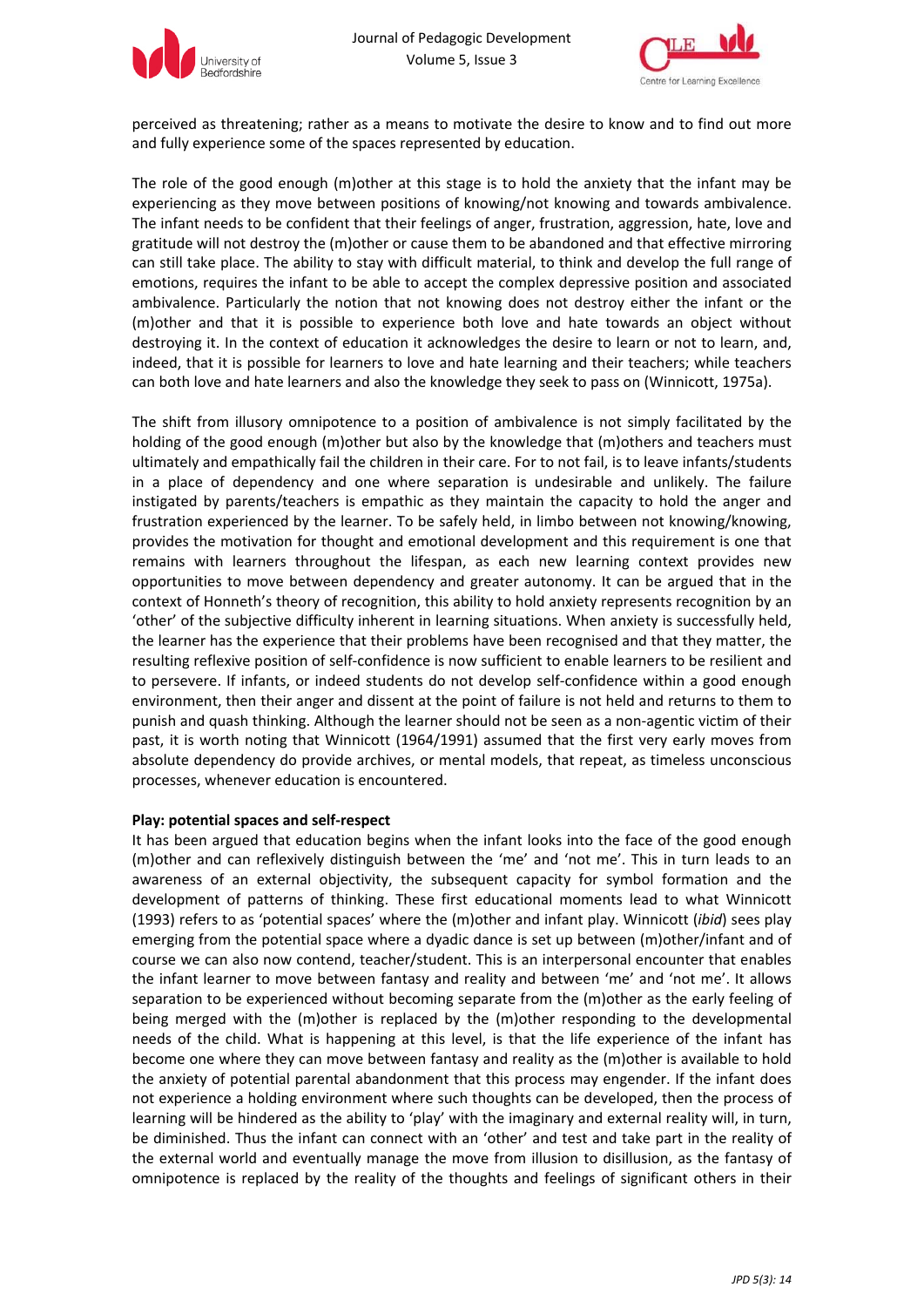



perceived as threatening; rather as a means to motivate the desire to know and to find out more and fully experience some of the spaces represented by education.

The role of the good enough (m)other at this stage is to hold the anxiety that the infant may be experiencing as they move between positions of knowing/not knowing and towards ambivalence. The infant needs to be confident that their feelings of anger, frustration, aggression, hate, love and gratitude will not destroy the (m)other or cause them to be abandoned and that effective mirroring can still take place. The ability to stay with difficult material, to think and develop the full range of emotions, requires the infant to be able to accept the complex depressive position and associated ambivalence. Particularly the notion that not knowing does not destroy either the infant or the (m)other and that it is possible to experience both love and hate towards an object without destroying it. In the context of education it acknowledges the desire to learn or not to learn, and, indeed, that it is possible for learners to love and hate learning and their teachers; while teachers can both love and hate learners and also the knowledge they seek to pass on (Winnicott, 1975a).

The shift from illusory omnipotence to a position of ambivalence is not simply facilitated by the holding of the good enough (m)other but also by the knowledge that (m)others and teachers must ultimately and empathically fail the children in their care. For to not fail, is to leave infants/students in a place of dependency and one where separation is undesirable and unlikely. The failure instigated by parents/teachers is empathic as they maintain the capacity to hold the anger and frustration experienced by the learner. To be safely held, in limbo between not knowing/knowing, provides the motivation for thought and emotional development and this requirement is one that remains with learners throughout the lifespan, as each new learning context provides new opportunities to move between dependency and greater autonomy. It can be argued that in the context of Honneth's theory of recognition, this ability to hold anxiety represents recognition by an 'other' of the subjective difficulty inherent in learning situations. When anxiety is successfully held, the learner has the experience that their problems have been recognised and that they matter, the resulting reflexive position of self‐confidence is now sufficient to enable learners to be resilient and to persevere. If infants, or indeed students do not develop self‐confidence within a good enough environment, then their anger and dissent at the point of failure is not held and returns to them to punish and quash thinking. Although the learner should not be seen as a non-agentic victim of their past, it is worth noting that Winnicott (1964/1991) assumed that the first very early moves from absolute dependency do provide archives, or mental models, that repeat, as timeless unconscious processes, whenever education is encountered.

#### **Play: potential spaces and self‐respect**

It has been argued that education begins when the infant looks into the face of the good enough (m)other and can reflexively distinguish between the 'me' and 'not me'. This in turn leads to an awareness of an external objectivity, the subsequent capacity for symbol formation and the development of patterns of thinking. These first educational moments lead to what Winnicott (1993) refers to as 'potential spaces' where the (m)other and infant play. Winnicott (*ibid*) sees play emerging from the potential space where a dyadic dance is set up between (m)other/infant and of course we can also now contend, teacher/student. This is an interpersonal encounter that enables the infant learner to move between fantasy and reality and between 'me' and 'not me'. It allows separation to be experienced without becoming separate from the (m)other as the early feeling of being merged with the (m)other is replaced by the (m)other responding to the developmental needs of the child. What is happening at this level, is that the life experience of the infant has become one where they can move between fantasy and reality as the (m)other is available to hold the anxiety of potential parental abandonment that this process may engender. If the infant does not experience a holding environment where such thoughts can be developed, then the process of learning will be hindered as the ability to 'play' with the imaginary and external reality will, in turn, be diminished. Thus the infant can connect with an 'other' and test and take part in the reality of the external world and eventually manage the move from illusion to disillusion, as the fantasy of omnipotence is replaced by the reality of the thoughts and feelings of significant others in their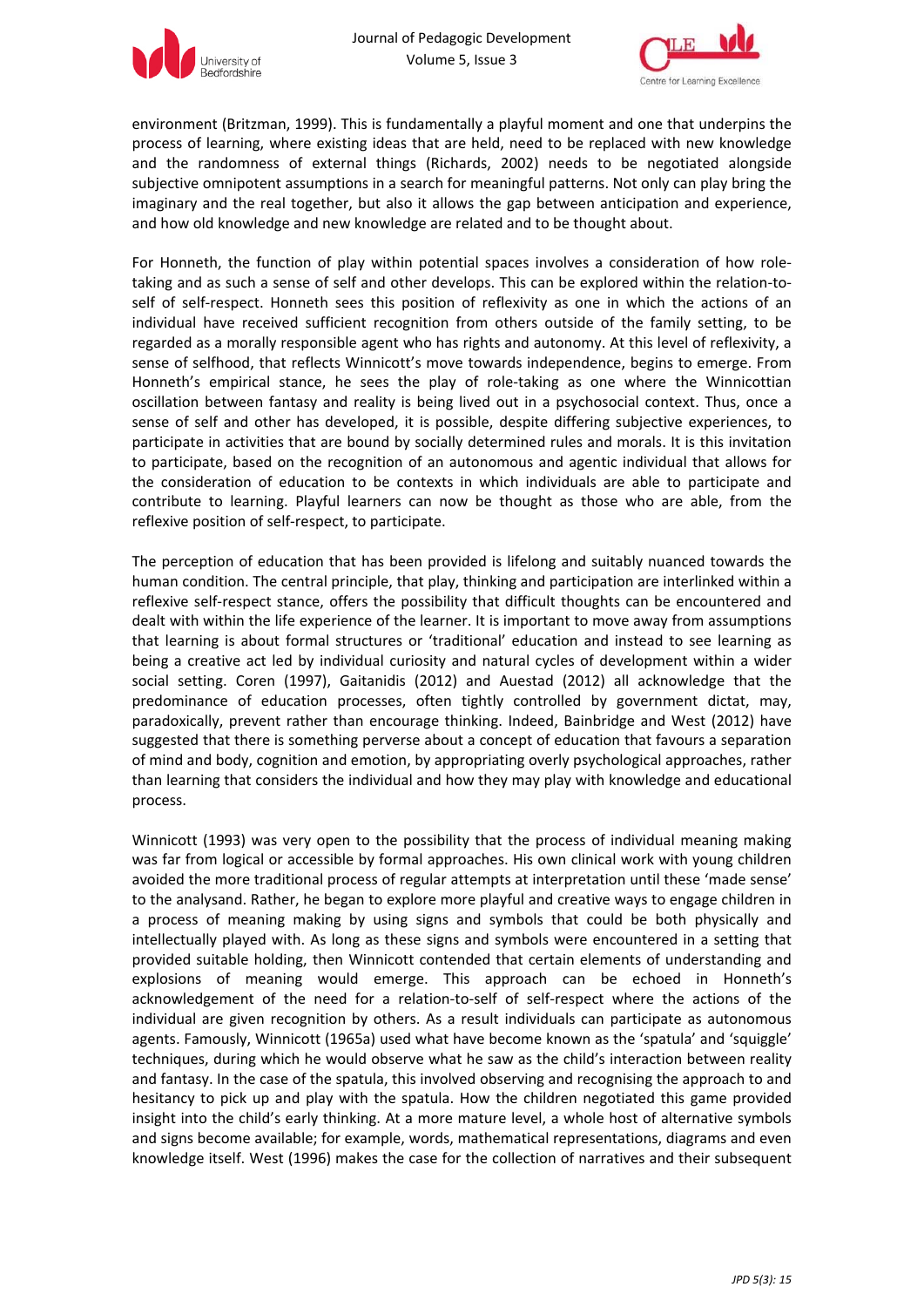



environment (Britzman, 1999). This is fundamentally a playful moment and one that underpins the process of learning, where existing ideas that are held, need to be replaced with new knowledge and the randomness of external things (Richards, 2002) needs to be negotiated alongside subjective omnipotent assumptions in a search for meaningful patterns. Not only can play bring the imaginary and the real together, but also it allows the gap between anticipation and experience, and how old knowledge and new knowledge are related and to be thought about.

For Honneth, the function of play within potential spaces involves a consideration of how roletaking and as such a sense of self and other develops. This can be explored within the relation-toself of self-respect. Honneth sees this position of reflexivity as one in which the actions of an individual have received sufficient recognition from others outside of the family setting, to be regarded as a morally responsible agent who has rights and autonomy. At this level of reflexivity, a sense of selfhood, that reflects Winnicott's move towards independence, begins to emerge. From Honneth's empirical stance, he sees the play of role-taking as one where the Winnicottian oscillation between fantasy and reality is being lived out in a psychosocial context. Thus, once a sense of self and other has developed, it is possible, despite differing subjective experiences, to participate in activities that are bound by socially determined rules and morals. It is this invitation to participate, based on the recognition of an autonomous and agentic individual that allows for the consideration of education to be contexts in which individuals are able to participate and contribute to learning. Playful learners can now be thought as those who are able, from the reflexive position of self‐respect, to participate.

The perception of education that has been provided is lifelong and suitably nuanced towards the human condition. The central principle, that play, thinking and participation are interlinked within a reflexive self-respect stance, offers the possibility that difficult thoughts can be encountered and dealt with within the life experience of the learner. It is important to move away from assumptions that learning is about formal structures or 'traditional' education and instead to see learning as being a creative act led by individual curiosity and natural cycles of development within a wider social setting. Coren (1997), Gaitanidis (2012) and Auestad (2012) all acknowledge that the predominance of education processes, often tightly controlled by government dictat, may, paradoxically, prevent rather than encourage thinking. Indeed, Bainbridge and West (2012) have suggested that there is something perverse about a concept of education that favours a separation of mind and body, cognition and emotion, by appropriating overly psychological approaches, rather than learning that considers the individual and how they may play with knowledge and educational process.

Winnicott (1993) was very open to the possibility that the process of individual meaning making was far from logical or accessible by formal approaches. His own clinical work with young children avoided the more traditional process of regular attempts at interpretation until these 'made sense' to the analysand. Rather, he began to explore more playful and creative ways to engage children in a process of meaning making by using signs and symbols that could be both physically and intellectually played with. As long as these signs and symbols were encountered in a setting that provided suitable holding, then Winnicott contended that certain elements of understanding and explosions of meaning would emerge. This approach can be echoed in Honneth's acknowledgement of the need for a relation‐to‐self of self‐respect where the actions of the individual are given recognition by others. As a result individuals can participate as autonomous agents. Famously, Winnicott (1965a) used what have become known as the 'spatula' and 'squiggle' techniques, during which he would observe what he saw as the child's interaction between reality and fantasy. In the case of the spatula, this involved observing and recognising the approach to and hesitancy to pick up and play with the spatula. How the children negotiated this game provided insight into the child's early thinking. At a more mature level, a whole host of alternative symbols and signs become available; for example, words, mathematical representations, diagrams and even knowledge itself. West (1996) makes the case for the collection of narratives and their subsequent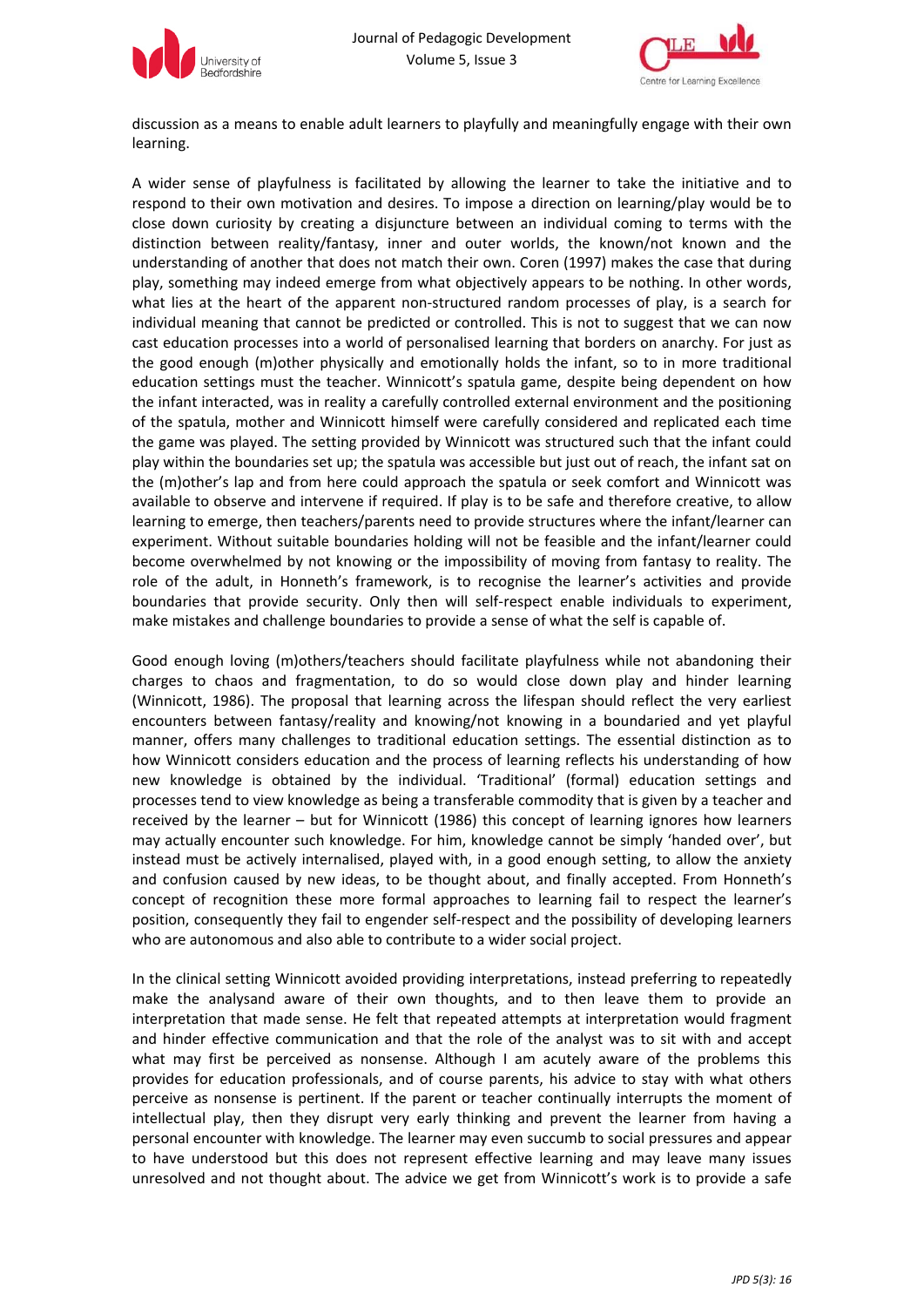



discussion as a means to enable adult learners to playfully and meaningfully engage with their own learning.

A wider sense of playfulness is facilitated by allowing the learner to take the initiative and to respond to their own motivation and desires. To impose a direction on learning/play would be to close down curiosity by creating a disjuncture between an individual coming to terms with the distinction between reality/fantasy, inner and outer worlds, the known/not known and the understanding of another that does not match their own. Coren (1997) makes the case that during play, something may indeed emerge from what objectively appears to be nothing. In other words, what lies at the heart of the apparent non-structured random processes of play, is a search for individual meaning that cannot be predicted or controlled. This is not to suggest that we can now cast education processes into a world of personalised learning that borders on anarchy. For just as the good enough (m)other physically and emotionally holds the infant, so to in more traditional education settings must the teacher. Winnicott's spatula game, despite being dependent on how the infant interacted, was in reality a carefully controlled external environment and the positioning of the spatula, mother and Winnicott himself were carefully considered and replicated each time the game was played. The setting provided by Winnicott was structured such that the infant could play within the boundaries set up; the spatula was accessible but just out of reach, the infant sat on the (m)other's lap and from here could approach the spatula or seek comfort and Winnicott was available to observe and intervene if required. If play is to be safe and therefore creative, to allow learning to emerge, then teachers/parents need to provide structures where the infant/learner can experiment. Without suitable boundaries holding will not be feasible and the infant/learner could become overwhelmed by not knowing or the impossibility of moving from fantasy to reality. The role of the adult, in Honneth's framework, is to recognise the learner's activities and provide boundaries that provide security. Only then will self-respect enable individuals to experiment, make mistakes and challenge boundaries to provide a sense of what the self is capable of.

Good enough loving (m)others/teachers should facilitate playfulness while not abandoning their charges to chaos and fragmentation, to do so would close down play and hinder learning (Winnicott, 1986). The proposal that learning across the lifespan should reflect the very earliest encounters between fantasy/reality and knowing/not knowing in a boundaried and yet playful manner, offers many challenges to traditional education settings. The essential distinction as to how Winnicott considers education and the process of learning reflects his understanding of how new knowledge is obtained by the individual. 'Traditional' (formal) education settings and processes tend to view knowledge as being a transferable commodity that is given by a teacher and received by the learner – but for Winnicott (1986) this concept of learning ignores how learners may actually encounter such knowledge. For him, knowledge cannot be simply 'handed over', but instead must be actively internalised, played with, in a good enough setting, to allow the anxiety and confusion caused by new ideas, to be thought about, and finally accepted. From Honneth's concept of recognition these more formal approaches to learning fail to respect the learner's position, consequently they fail to engender self‐respect and the possibility of developing learners who are autonomous and also able to contribute to a wider social project.

In the clinical setting Winnicott avoided providing interpretations, instead preferring to repeatedly make the analysand aware of their own thoughts, and to then leave them to provide an interpretation that made sense. He felt that repeated attempts at interpretation would fragment and hinder effective communication and that the role of the analyst was to sit with and accept what may first be perceived as nonsense. Although I am acutely aware of the problems this provides for education professionals, and of course parents, his advice to stay with what others perceive as nonsense is pertinent. If the parent or teacher continually interrupts the moment of intellectual play, then they disrupt very early thinking and prevent the learner from having a personal encounter with knowledge. The learner may even succumb to social pressures and appear to have understood but this does not represent effective learning and may leave many issues unresolved and not thought about. The advice we get from Winnicott's work is to provide a safe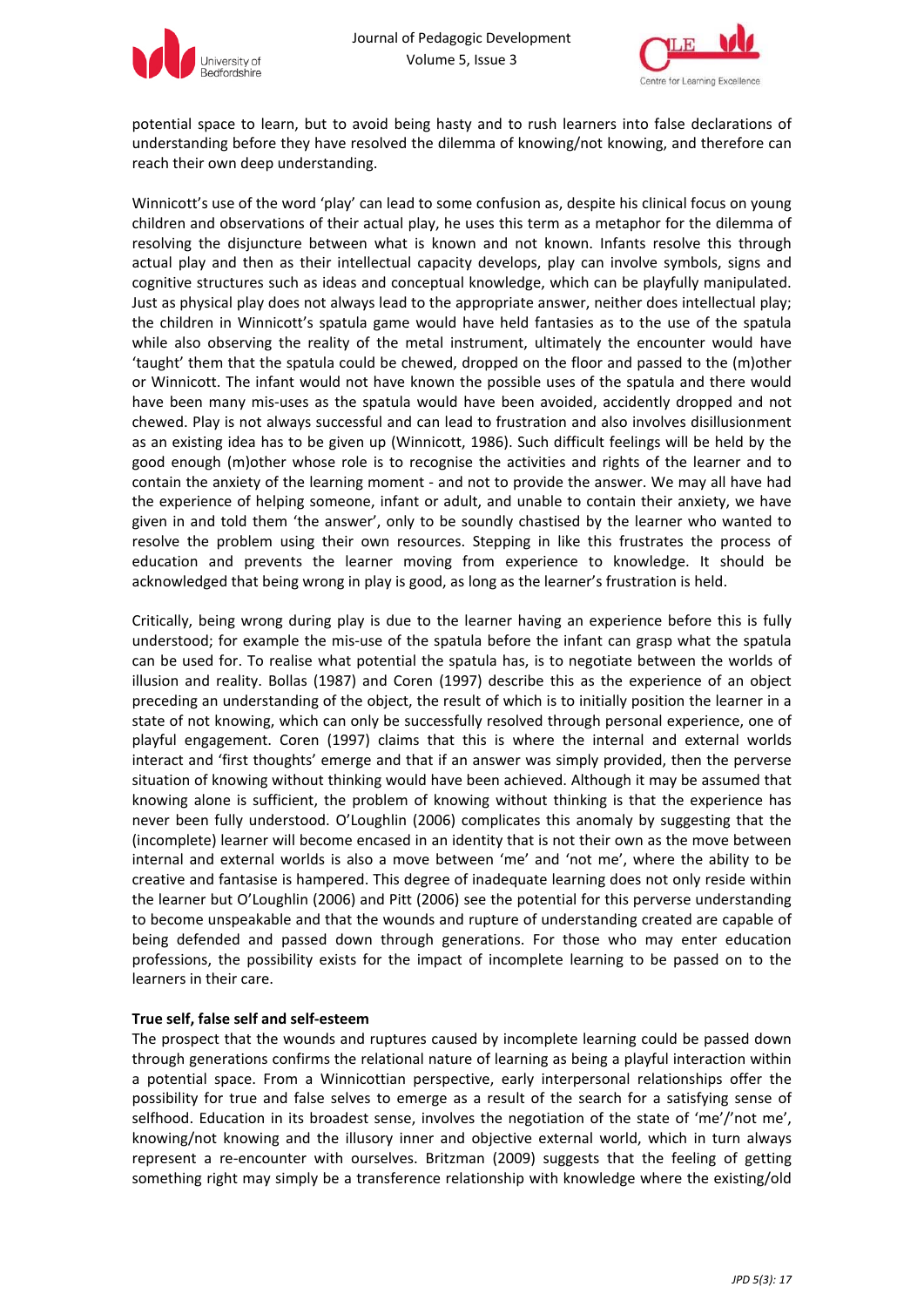



potential space to learn, but to avoid being hasty and to rush learners into false declarations of understanding before they have resolved the dilemma of knowing/not knowing, and therefore can reach their own deep understanding.

Winnicott's use of the word 'play' can lead to some confusion as, despite his clinical focus on young children and observations of their actual play, he uses this term as a metaphor for the dilemma of resolving the disjuncture between what is known and not known. Infants resolve this through actual play and then as their intellectual capacity develops, play can involve symbols, signs and cognitive structures such as ideas and conceptual knowledge, which can be playfully manipulated. Just as physical play does not always lead to the appropriate answer, neither does intellectual play; the children in Winnicott's spatula game would have held fantasies as to the use of the spatula while also observing the reality of the metal instrument, ultimately the encounter would have 'taught' them that the spatula could be chewed, dropped on the floor and passed to the (m)other or Winnicott. The infant would not have known the possible uses of the spatula and there would have been many mis-uses as the spatula would have been avoided, accidently dropped and not chewed. Play is not always successful and can lead to frustration and also involves disillusionment as an existing idea has to be given up (Winnicott, 1986). Such difficult feelings will be held by the good enough (m)other whose role is to recognise the activities and rights of the learner and to contain the anxiety of the learning moment ‐ and not to provide the answer. We may all have had the experience of helping someone, infant or adult, and unable to contain their anxiety, we have given in and told them 'the answer', only to be soundly chastised by the learner who wanted to resolve the problem using their own resources. Stepping in like this frustrates the process of education and prevents the learner moving from experience to knowledge. It should be acknowledged that being wrong in play is good, as long as the learner's frustration is held.

Critically, being wrong during play is due to the learner having an experience before this is fully understood; for example the mis-use of the spatula before the infant can grasp what the spatula can be used for. To realise what potential the spatula has, is to negotiate between the worlds of illusion and reality. Bollas (1987) and Coren (1997) describe this as the experience of an object preceding an understanding of the object, the result of which is to initially position the learner in a state of not knowing, which can only be successfully resolved through personal experience, one of playful engagement. Coren (1997) claims that this is where the internal and external worlds interact and 'first thoughts' emerge and that if an answer was simply provided, then the perverse situation of knowing without thinking would have been achieved. Although it may be assumed that knowing alone is sufficient, the problem of knowing without thinking is that the experience has never been fully understood. O'Loughlin (2006) complicates this anomaly by suggesting that the (incomplete) learner will become encased in an identity that is not their own as the move between internal and external worlds is also a move between 'me' and 'not me', where the ability to be creative and fantasise is hampered. This degree of inadequate learning does not only reside within the learner but O'Loughlin (2006) and Pitt (2006) see the potential for this perverse understanding to become unspeakable and that the wounds and rupture of understanding created are capable of being defended and passed down through generations. For those who may enter education professions, the possibility exists for the impact of incomplete learning to be passed on to the learners in their care.

## **True self, false self and self‐esteem**

The prospect that the wounds and ruptures caused by incomplete learning could be passed down through generations confirms the relational nature of learning as being a playful interaction within a potential space. From a Winnicottian perspective, early interpersonal relationships offer the possibility for true and false selves to emerge as a result of the search for a satisfying sense of selfhood. Education in its broadest sense, involves the negotiation of the state of 'me'/'not me', knowing/not knowing and the illusory inner and objective external world, which in turn always represent a re-encounter with ourselves. Britzman (2009) suggests that the feeling of getting something right may simply be a transference relationship with knowledge where the existing/old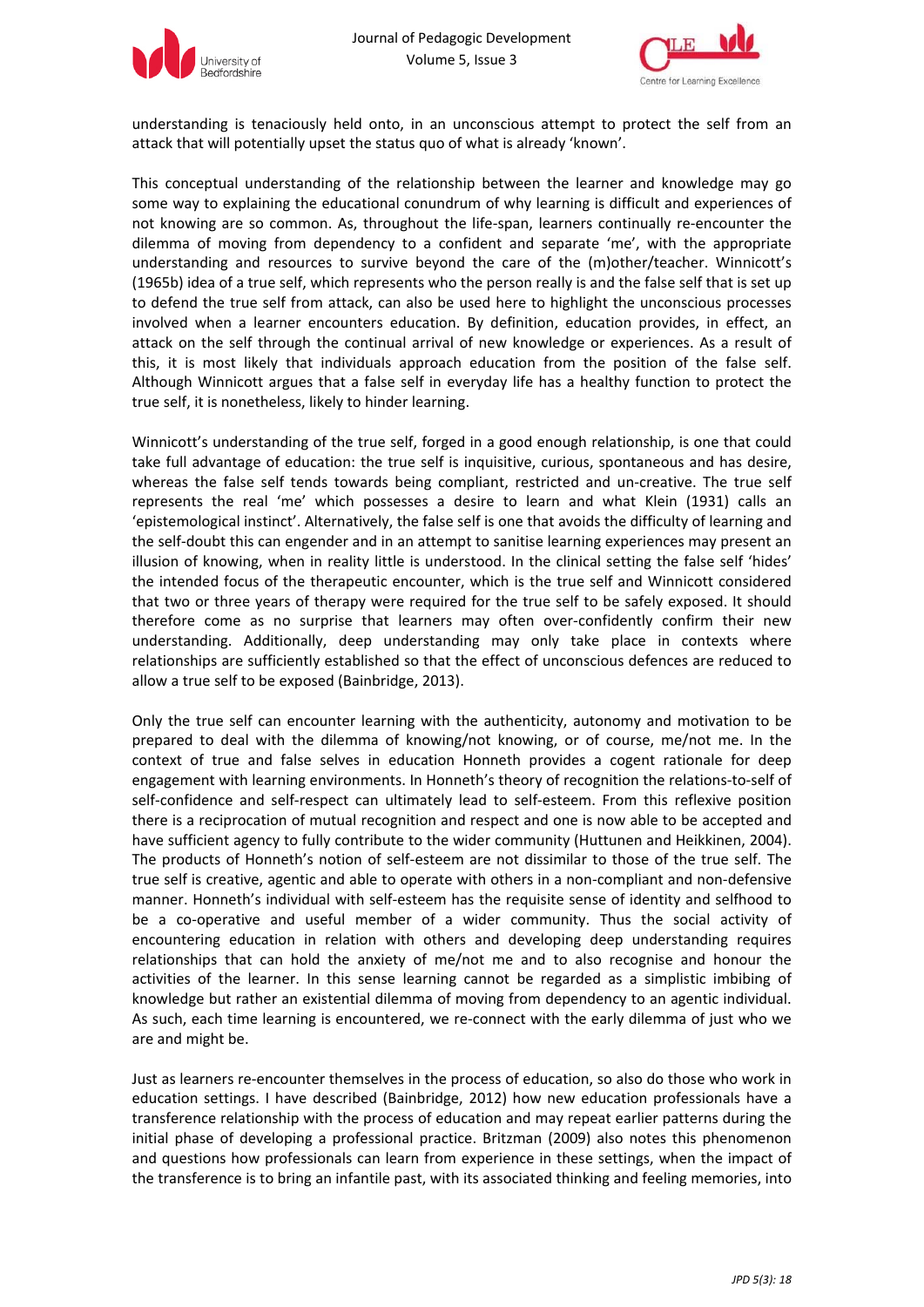



understanding is tenaciously held onto, in an unconscious attempt to protect the self from an attack that will potentially upset the status quo of what is already 'known'.

This conceptual understanding of the relationship between the learner and knowledge may go some way to explaining the educational conundrum of why learning is difficult and experiences of not knowing are so common. As, throughout the life‐span, learners continually re‐encounter the dilemma of moving from dependency to a confident and separate 'me', with the appropriate understanding and resources to survive beyond the care of the (m)other/teacher. Winnicott's (1965b) idea of a true self, which represents who the person really is and the false self that is set up to defend the true self from attack, can also be used here to highlight the unconscious processes involved when a learner encounters education. By definition, education provides, in effect, an attack on the self through the continual arrival of new knowledge or experiences. As a result of this, it is most likely that individuals approach education from the position of the false self. Although Winnicott argues that a false self in everyday life has a healthy function to protect the true self, it is nonetheless, likely to hinder learning.

Winnicott's understanding of the true self, forged in a good enough relationship, is one that could take full advantage of education: the true self is inquisitive, curious, spontaneous and has desire, whereas the false self tends towards being compliant, restricted and un-creative. The true self represents the real 'me' which possesses a desire to learn and what Klein (1931) calls an 'epistemological instinct'. Alternatively, the false self is one that avoids the difficulty of learning and the self-doubt this can engender and in an attempt to sanitise learning experiences may present an illusion of knowing, when in reality little is understood. In the clinical setting the false self 'hides' the intended focus of the therapeutic encounter, which is the true self and Winnicott considered that two or three years of therapy were required for the true self to be safely exposed. It should therefore come as no surprise that learners may often over‐confidently confirm their new understanding. Additionally, deep understanding may only take place in contexts where relationships are sufficiently established so that the effect of unconscious defences are reduced to allow a true self to be exposed (Bainbridge, 2013).

Only the true self can encounter learning with the authenticity, autonomy and motivation to be prepared to deal with the dilemma of knowing/not knowing, or of course, me/not me. In the context of true and false selves in education Honneth provides a cogent rationale for deep engagement with learning environments. In Honneth's theory of recognition the relations-to-self of self-confidence and self-respect can ultimately lead to self-esteem. From this reflexive position there is a reciprocation of mutual recognition and respect and one is now able to be accepted and have sufficient agency to fully contribute to the wider community (Huttunen and Heikkinen, 2004). The products of Honneth's notion of self‐esteem are not dissimilar to those of the true self. The true self is creative, agentic and able to operate with others in a non‐compliant and non‐defensive manner. Honneth's individual with self‐esteem has the requisite sense of identity and selfhood to be a co-operative and useful member of a wider community. Thus the social activity of encountering education in relation with others and developing deep understanding requires relationships that can hold the anxiety of me/not me and to also recognise and honour the activities of the learner. In this sense learning cannot be regarded as a simplistic imbibing of knowledge but rather an existential dilemma of moving from dependency to an agentic individual. As such, each time learning is encountered, we re-connect with the early dilemma of just who we are and might be.

Just as learners re‐encounter themselves in the process of education, so also do those who work in education settings. I have described (Bainbridge, 2012) how new education professionals have a transference relationship with the process of education and may repeat earlier patterns during the initial phase of developing a professional practice. Britzman (2009) also notes this phenomenon and questions how professionals can learn from experience in these settings, when the impact of the transference is to bring an infantile past, with its associated thinking and feeling memories, into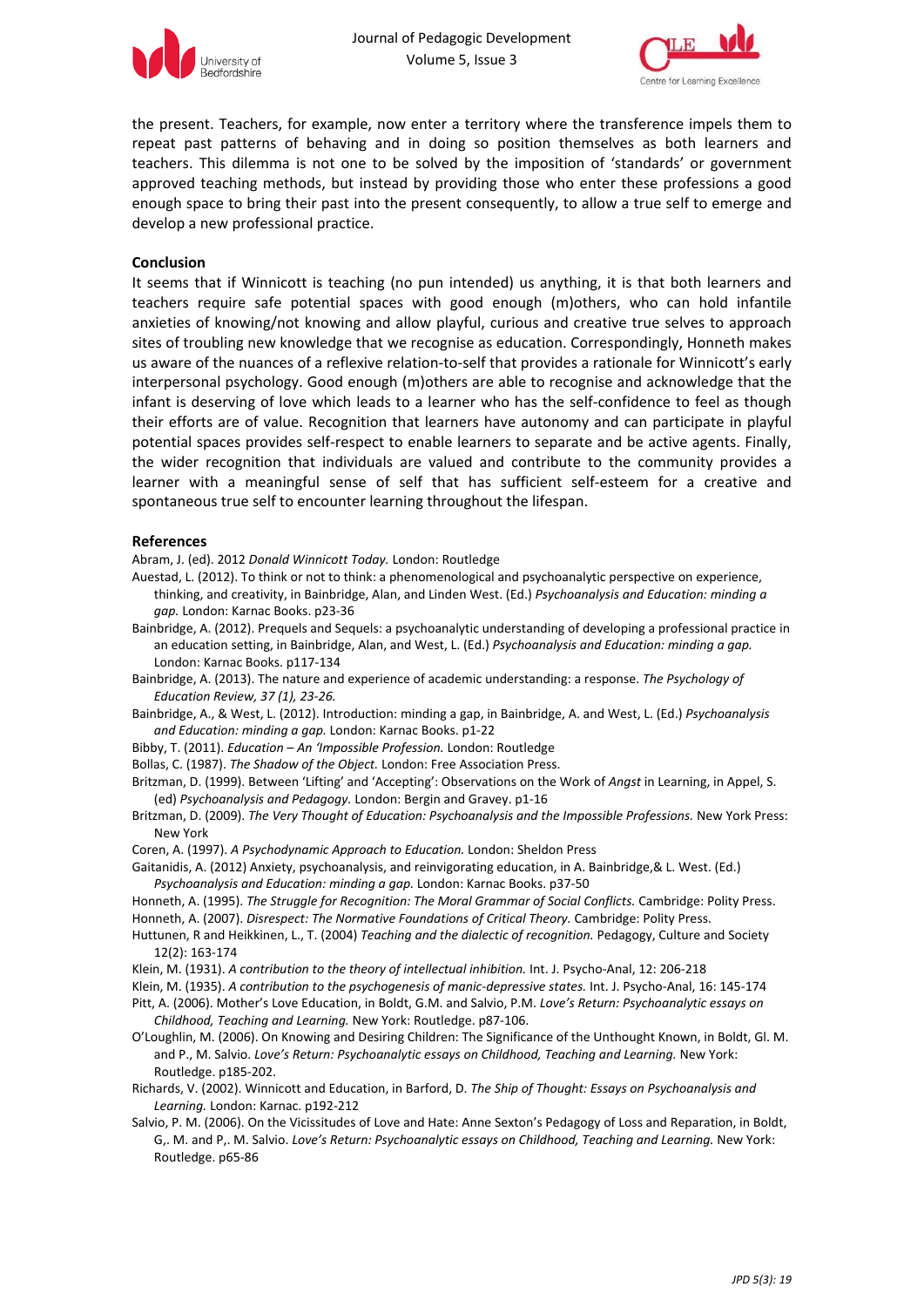



the present. Teachers, for example, now enter a territory where the transference impels them to repeat past patterns of behaving and in doing so position themselves as both learners and teachers. This dilemma is not one to be solved by the imposition of 'standards' or government approved teaching methods, but instead by providing those who enter these professions a good enough space to bring their past into the present consequently, to allow a true self to emerge and develop a new professional practice.

#### **Conclusion**

It seems that if Winnicott is teaching (no pun intended) us anything, it is that both learners and teachers require safe potential spaces with good enough (m)others, who can hold infantile anxieties of knowing/not knowing and allow playful, curious and creative true selves to approach sites of troubling new knowledge that we recognise as education. Correspondingly, Honneth makes us aware of the nuances of a reflexive relation-to-self that provides a rationale for Winnicott's early interpersonal psychology. Good enough (m)others are able to recognise and acknowledge that the infant is deserving of love which leads to a learner who has the self-confidence to feel as though their efforts are of value. Recognition that learners have autonomy and can participate in playful potential spaces provides self-respect to enable learners to separate and be active agents. Finally, the wider recognition that individuals are valued and contribute to the community provides a learner with a meaningful sense of self that has sufficient self-esteem for a creative and spontaneous true self to encounter learning throughout the lifespan.

#### **References**

Abram, J. (ed). 2012 *Donald Winnicott Today.* London: Routledge

- Auestad, L. (2012). To think or not to think: a phenomenological and psychoanalytic perspective on experience, thinking, and creativity, in Bainbridge, Alan, and Linden West. (Ed.) *Psychoanalysis and Education: minding a gap.* London: Karnac Books. p23‐36
- Bainbridge, A. (2012). Prequels and Sequels: a psychoanalytic understanding of developing a professional practice in an education setting, in Bainbridge, Alan, and West, L. (Ed.) *Psychoanalysis and Education: minding a gap.* London: Karnac Books. p117‐134
- Bainbridge, A. (2013). The nature and experience of academic understanding: a response. *The Psychology of Education Review, 37 (1), 23‐26.*
- Bainbridge, A., & West, L. (2012). Introduction: minding a gap, in Bainbridge, A. and West, L. (Ed.) *Psychoanalysis and Education: minding a gap.* London: Karnac Books. p1‐22
- Bibby, T. (2011). *Education – An 'Impossible Profession.* London: Routledge
- Bollas, C. (1987). *The Shadow of the Object.* London: Free Association Press.
- Britzman, D. (1999). Between 'Lifting' and 'Accepting': Observations on the Work of *Angst* in Learning, in Appel, S. (ed) *Psychoanalysis and Pedagogy.* London: Bergin and Gravey. p1‐16
- Britzman, D. (2009). *The Very Thought of Education: Psychoanalysis and the Impossible Professions.* New York Press: New York
- Coren, A. (1997). *A Psychodynamic Approach to Education.* London: Sheldon Press
- Gaitanidis, A. (2012) Anxiety, psychoanalysis, and reinvigorating education, in A. Bainbridge,& L. West. (Ed.) *Psychoanalysis and Education: minding a gap.* London: Karnac Books. p37‐50

Honneth, A. (1995). *The Struggle for Recognition: The Moral Grammar of Social Conflicts.* Cambridge: Polity Press. Honneth, A. (2007). *Disrespect: The Normative Foundations of Critical Theory.* Cambridge: Polity Press.

- Huttunen, R and Heikkinen, L., T. (2004) *Teaching and the dialectic of recognition.* Pedagogy, Culture and Society 12(2): 163‐174
- Klein, M. (1931). *A contribution to the theory of intellectual inhibition.* Int. J. Psycho‐Anal, 12: 206‐218
- Klein, M. (1935). *A contribution to the psychogenesis of manic‐depressive states.* Int. J. Psycho‐Anal, 16: 145‐174

Pitt, A. (2006). Mother's Love Education, in Boldt, G.M. and Salvio, P.M. *Love's Return: Psychoanalytic essays on Childhood, Teaching and Learning.* New York: Routledge. p87‐106.

- O'Loughlin, M. (2006). On Knowing and Desiring Children: The Significance of the Unthought Known, in Boldt, Gl. M. and P., M. Salvio. *Love's Return: Psychoanalytic essays on Childhood, Teaching and Learning.* New York: Routledge. p185‐202.
- Richards, V. (2002). Winnicott and Education, in Barford, D. *The Ship of Thought: Essays on Psychoanalysis and Learning.* London: Karnac. p192‐212
- Salvio, P. M. (2006). On the Vicissitudes of Love and Hate: Anne Sexton's Pedagogy of Loss and Reparation, in Boldt, G,. M. and P,. M. Salvio. *Love's Return: Psychoanalytic essays on Childhood, Teaching and Learning.* New York: Routledge. p65‐86